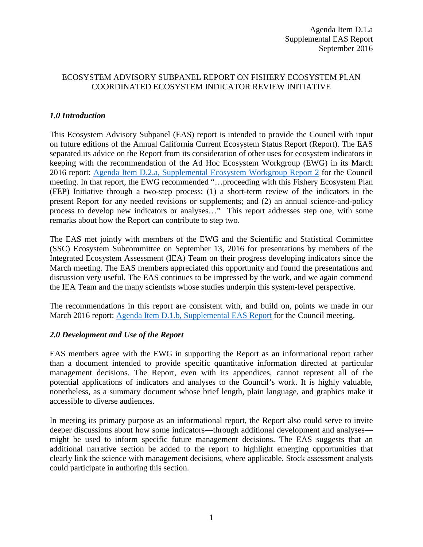## ECOSYSTEM ADVISORY SUBPANEL REPORT ON FISHERY ECOSYSTEM PLAN COORDINATED ECOSYSTEM INDICATOR REVIEW INITIATIVE

# *1.0 Introduction*

This Ecosystem Advisory Subpanel (EAS) report is intended to provide the Council with input on future editions of the Annual California Current Ecosystem Status Report (Report). The EAS separated its advice on the Report from its consideration of other uses for ecosystem indicators in keeping with the recommendation of the Ad Hoc Ecosystem Workgroup (EWG) in its March 2016 report: [Agenda Item D.2.a, Supplemental Ecosystem Workgroup Report 2](http://www.pcouncil.org/wp-content/uploads/2016/03/D2a_Sup_EWG_Rpt2_MAR2016BB.pdf) for the Council meeting. In that report, the EWG recommended "…proceeding with this Fishery Ecosystem Plan (FEP) Initiative through a two-step process: (1) a short-term review of the indicators in the present Report for any needed revisions or supplements; and (2) an annual science-and-policy process to develop new indicators or analyses…" This report addresses step one, with some remarks about how the Report can contribute to step two.

The EAS met jointly with members of the EWG and the Scientific and Statistical Committee (SSC) Ecosystem Subcommittee on September 13, 2016 for presentations by members of the Integrated Ecosystem Assessment (IEA) Team on their progress developing indicators since the March meeting. The EAS members appreciated this opportunity and found the presentations and discussion very useful. The EAS continues to be impressed by the work, and we again commend the IEA Team and the many scientists whose studies underpin this system-level perspective.

The recommendations in this report are consistent with, and build on, points we made in our March 2016 report: [Agenda Item D.1.b, Supplemental EAS Report](http://www.pcouncil.org/wp-content/uploads/2016/03/D1b_Sup_EAS_Rpt_MAR2016BB.pdf) for the Council meeting.

## *2.0 Development and Use of the Report*

EAS members agree with the EWG in supporting the Report as an informational report rather than a document intended to provide specific quantitative information directed at particular management decisions. The Report, even with its appendices, cannot represent all of the potential applications of indicators and analyses to the Council's work. It is highly valuable, nonetheless, as a summary document whose brief length, plain language, and graphics make it accessible to diverse audiences.

In meeting its primary purpose as an informational report, the Report also could serve to invite deeper discussions about how some indicators—through additional development and analyses might be used to inform specific future management decisions. The EAS suggests that an additional narrative section be added to the report to highlight emerging opportunities that clearly link the science with management decisions, where applicable. Stock assessment analysts could participate in authoring this section.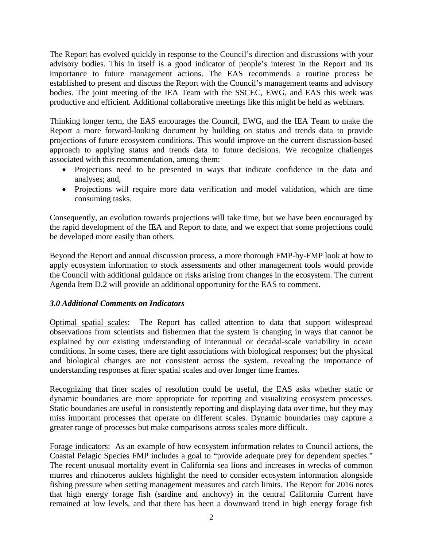The Report has evolved quickly in response to the Council's direction and discussions with your advisory bodies. This in itself is a good indicator of people's interest in the Report and its importance to future management actions. The EAS recommends a routine process be established to present and discuss the Report with the Council's management teams and advisory bodies. The joint meeting of the IEA Team with the SSCEC, EWG, and EAS this week was productive and efficient. Additional collaborative meetings like this might be held as webinars.

Thinking longer term, the EAS encourages the Council, EWG, and the IEA Team to make the Report a more forward-looking document by building on status and trends data to provide projections of future ecosystem conditions. This would improve on the current discussion-based approach to applying status and trends data to future decisions. We recognize challenges associated with this recommendation, among them:

- Projections need to be presented in ways that indicate confidence in the data and analyses; and,
- Projections will require more data verification and model validation, which are time consuming tasks.

Consequently, an evolution towards projections will take time, but we have been encouraged by the rapid development of the IEA and Report to date, and we expect that some projections could be developed more easily than others.

Beyond the Report and annual discussion process, a more thorough FMP-by-FMP look at how to apply ecosystem information to stock assessments and other management tools would provide the Council with additional guidance on risks arising from changes in the ecosystem. The current Agenda Item D.2 will provide an additional opportunity for the EAS to comment.

## *3.0 Additional Comments on Indicators*

Optimal spatial scales: The Report has called attention to data that support widespread observations from scientists and fishermen that the system is changing in ways that cannot be explained by our existing understanding of interannual or decadal-scale variability in ocean conditions. In some cases, there are tight associations with biological responses; but the physical and biological changes are not consistent across the system, revealing the importance of understanding responses at finer spatial scales and over longer time frames.

Recognizing that finer scales of resolution could be useful, the EAS asks whether static or dynamic boundaries are more appropriate for reporting and visualizing ecosystem processes. Static boundaries are useful in consistently reporting and displaying data over time, but they may miss important processes that operate on different scales. Dynamic boundaries may capture a greater range of processes but make comparisons across scales more difficult.

Forage indicators: As an example of how ecosystem information relates to Council actions, the Coastal Pelagic Species FMP includes a goal to "provide adequate prey for dependent species." The recent unusual mortality event in California sea lions and increases in wrecks of common murres and rhinoceros auklets highlight the need to consider ecosystem information alongside fishing pressure when setting management measures and catch limits. The Report for 2016 notes that high energy forage fish (sardine and anchovy) in the central California Current have remained at low levels, and that there has been a downward trend in high energy forage fish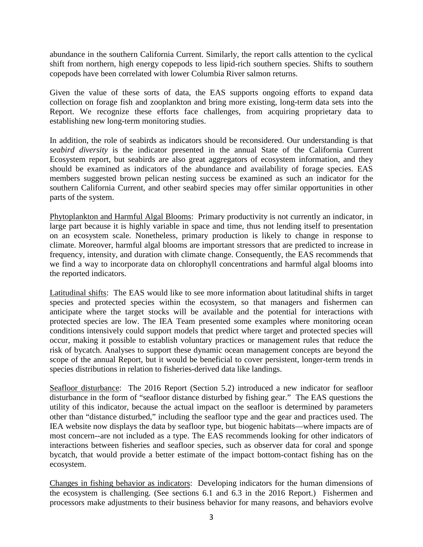abundance in the southern California Current. Similarly, the report calls attention to the cyclical shift from northern, high energy copepods to less lipid-rich southern species. Shifts to southern copepods have been correlated with lower Columbia River salmon returns.

Given the value of these sorts of data, the EAS supports ongoing efforts to expand data collection on forage fish and zooplankton and bring more existing, long-term data sets into the Report. We recognize these efforts face challenges, from acquiring proprietary data to establishing new long-term monitoring studies.

In addition, the role of seabirds as indicators should be reconsidered. Our understanding is that *seabird diversity* is the indicator presented in the annual State of the California Current Ecosystem report, but seabirds are also great aggregators of ecosystem information, and they should be examined as indicators of the abundance and availability of forage species. EAS members suggested brown pelican nesting success be examined as such an indicator for the southern California Current, and other seabird species may offer similar opportunities in other parts of the system.

Phytoplankton and Harmful Algal Blooms: Primary productivity is not currently an indicator, in large part because it is highly variable in space and time, thus not lending itself to presentation on an ecosystem scale. Nonetheless, primary production is likely to change in response to climate. Moreover, harmful algal blooms are important stressors that are predicted to increase in frequency, intensity, and duration with climate change. Consequently, the EAS recommends that we find a way to incorporate data on chlorophyll concentrations and harmful algal blooms into the reported indicators.

Latitudinal shifts: The EAS would like to see more information about latitudinal shifts in target species and protected species within the ecosystem, so that managers and fishermen can anticipate where the target stocks will be available and the potential for interactions with protected species are low. The IEA Team presented some examples where monitoring ocean conditions intensively could support models that predict where target and protected species will occur, making it possible to establish voluntary practices or management rules that reduce the risk of bycatch. Analyses to support these dynamic ocean management concepts are beyond the scope of the annual Report, but it would be beneficial to cover persistent, longer-term trends in species distributions in relation to fisheries-derived data like landings.

Seafloor disturbance: The 2016 Report (Section 5.2) introduced a new indicator for seafloor disturbance in the form of "seafloor distance disturbed by fishing gear." The EAS questions the utility of this indicator, because the actual impact on the seafloor is determined by parameters other than "distance disturbed," including the seafloor type and the gear and practices used. The IEA website now displays the data by seafloor type, but biogenic habitats—where impacts are of most concern--are not included as a type. The EAS recommends looking for other indicators of interactions between fisheries and seafloor species, such as observer data for coral and sponge bycatch, that would provide a better estimate of the impact bottom-contact fishing has on the ecosystem.

Changes in fishing behavior as indicators: Developing indicators for the human dimensions of the ecosystem is challenging. (See sections 6.1 and 6.3 in the 2016 Report.) Fishermen and processors make adjustments to their business behavior for many reasons, and behaviors evolve